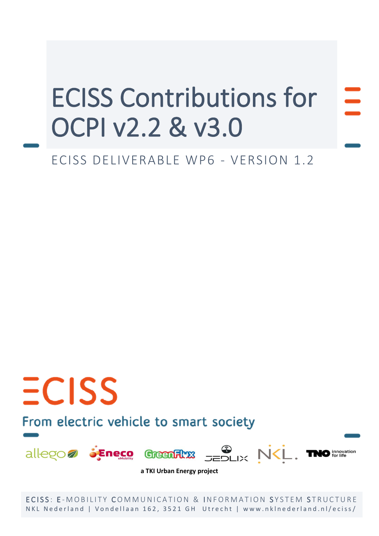# ECISS Contributions for OCPI v2.2 & v3.0

# ECISS DELIVERABLE WP6 - VERSION 1.2

# From electric vehicle to smart society

 $ECISS$ 



**a TKI Urban Energy project**

ECISS: E-MOBILITY COMMUNICATION & INFORMATION SYSTEM STRUCTURE NKL Nederland | Vondellaan 162, 3521 GH Utrecht | www.nklnederland.nl/eciss/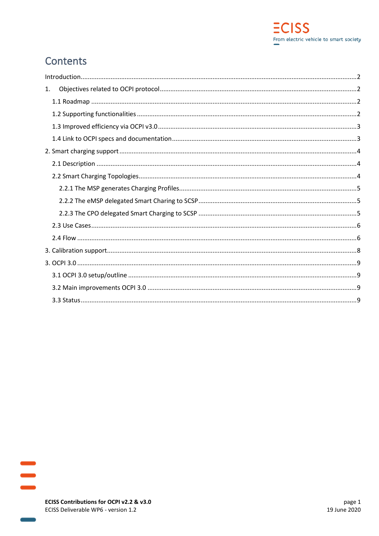# Contents

| 1. |  |
|----|--|
|    |  |
|    |  |
|    |  |
|    |  |
|    |  |
|    |  |
|    |  |
|    |  |
|    |  |
|    |  |
|    |  |
|    |  |
|    |  |
|    |  |
|    |  |
|    |  |
|    |  |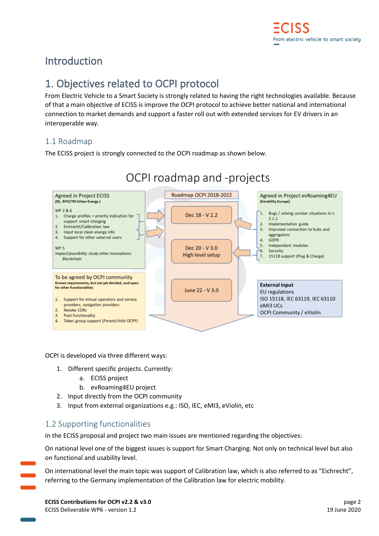# <span id="page-2-0"></span>Introduction

# <span id="page-2-1"></span>1. Objectives related to OCPI protocol

From Electric Vehicle to a Smart Society is strongly related to having the right technologies available. Because of that a main objective of ECISS is improve the OCPI protocol to achieve better national and international connection to market demands and support a faster roll out with extended services for EV drivers in an interoperable way.

## <span id="page-2-2"></span>1.1 Roadmap

The ECISS project is strongly connected to the OCPI roadmap as shown below.



OCPI is developed via three different ways:

- 1. Different specific projects. Currently:
	- a. ECISS project
	- b. evRoaming4EU project
- 2. Input directly from the OCPI community
- 3. Input from external organizations e.g.: ISO, IEC, eMI3, eViolin, etc

## <span id="page-2-3"></span>1.2 Supporting functionalities

In the ECISS proposal and project two main issues are mentioned regarding the objectives:

On national level one of the biggest issues is support for Smart Charging. Not only on technical level but also on functional and usability level.

On international level the main topic was support of Calibration law, which is also referred to as "Eichrecht", referring to the Germany implementation of the Calibration law for electric mobility.

**ECISS Contributions for OCPI v2.2 & v3.0** page 2 ECISS Deliverable WP6 - version 1.2 19 June 2020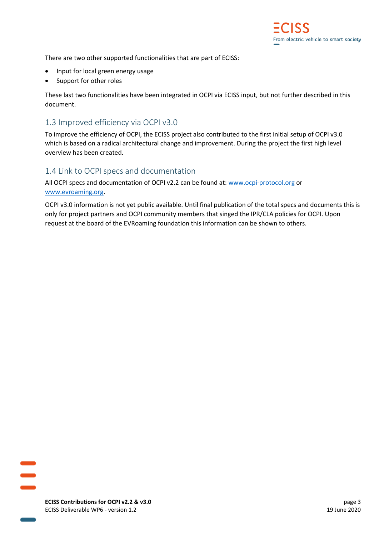There are two other supported functionalities that are part of ECISS:

- Input for local green energy usage
- Support for other roles

These last two functionalities have been integrated in OCPI via ECISS input, but not further described in this document.

## <span id="page-3-0"></span>1.3 Improved efficiency via OCPI v3.0

To improve the efficiency of OCPI, the ECISS project also contributed to the first initial setup of OCPI v3.0 which is based on a radical architectural change and improvement. During the project the first high level overview has been created.

## <span id="page-3-1"></span>1.4 Link to OCPI specs and documentation

All OCPI specs and documentation of OCPI v2.2 can be found at: [www.ocpi-protocol.org](http://www.ocpi-protocol.org/) or [www.evroaming.org.](http://www.evroaming.org/)

OCPI v3.0 information is not yet public available. Until final publication of the total specs and documents this is only for project partners and OCPI community members that singed the IPR/CLA policies for OCPI. Upon request at the board of the EVRoaming foundation this information can be shown to others.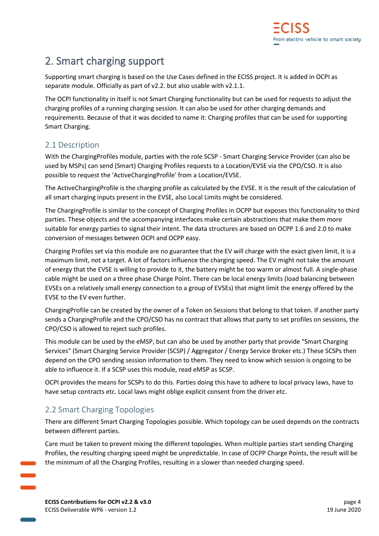# <span id="page-4-0"></span>2. Smart charging support

Supporting smart charging is based on the Use Cases defined in the ECISS project. It is added in OCPI as separate module. Officially as part of v2.2. but also usable with v2.1.1.

The OCPI functionality in itself is not Smart Charging functionality but can be used for requests to adjust the charging profiles of a running charging session. It can also be used for other charging demands and requirements. Because of that it was decided to name it: Charging profiles that can be used for supporting Smart Charging.

## <span id="page-4-1"></span>2.1 Description

With the ChargingProfiles module, parties with the role SCSP - Smart Charging Service Provider (can also be used by MSPs) can send (Smart) Charging Profiles requests to a Location/EVSE via the CPO/CSO. It is also possible to request the 'ActiveChargingProfile' from a Location/EVSE.

The ActiveChargingProfile is the charging profile as calculated by the EVSE. It is the result of the calculation of all smart charging inputs present in the EVSE, also Local Limits might be considered.

The ChargingProfile is similar to the concept of Charging Profiles in OCPP but exposes this functionality to third parties. These objects and the accompanying interfaces make certain abstractions that make them more suitable for energy parties to signal their intent. The data structures are based on OCPP 1.6 and 2.0 to make conversion of messages between OCPI and OCPP easy.

Charging Profiles set via this module are no guarantee that the EV will charge with the exact given limit, it is a maximum limit, not a target. A lot of factors influence the charging speed. The EV might not take the amount of energy that the EVSE is willing to provide to it, the battery might be too warm or almost full. A single-phase cable might be used on a three phase Charge Point. There can be local energy limits (load balancing between EVSEs on a relatively small energy connection to a group of EVSEs) that might limit the energy offered by the EVSE to the EV even further.

ChargingProfile can be created by the owner of a Token on Sessions that belong to that token. If another party sends a ChargingProfile and the CPO/CSO has no contract that allows that party to set profiles on sessions, the CPO/CSO is allowed to reject such profiles.

This module can be used by the eMSP, but can also be used by another party that provide "Smart Charging Services" (Smart Charging Service Provider (SCSP) / Aggregator / Energy Service Broker etc.) These SCSPs then depend on the CPO sending session information to them. They need to know which session is ongoing to be able to influence it. If a SCSP uses this module, read eMSP as SCSP.

OCPI provides the means for SCSPs to do this. Parties doing this have to adhere to local privacy laws, have to have setup contracts etc. Local laws might oblige explicit consent from the driver etc.

## <span id="page-4-2"></span>2.2 Smart Charging Topologies

There are different Smart Charging Topologies possible. Which topology can be used depends on the contracts between different parties.

Care must be taken to prevent mixing the different topologies. When multiple parties start sending Charging Profiles, the resulting charging speed might be unpredictable. In case of OCPP Charge Points, the result will be the minimum of all the Charging Profiles, resulting in a slower than needed charging speed.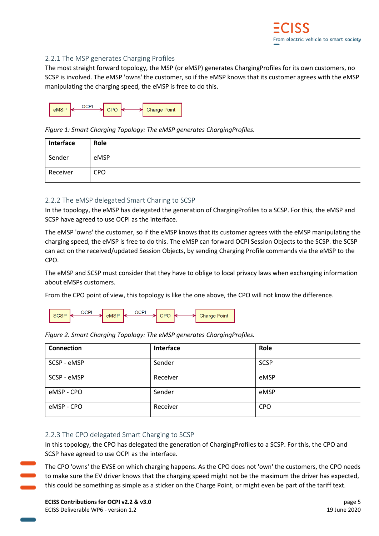#### <span id="page-5-0"></span>2.2.1 The MSP generates Charging Profiles

The most straight forward topology, the MSP (or eMSP) generates ChargingProfiles for its own customers, no SCSP is involved. The eMSP 'owns' the customer, so if the eMSP knows that its customer agrees with the eMSP manipulating the charging speed, the eMSP is free to do this.



*Figure 1: Smart Charging Topology: The eMSP generates ChargingProfiles.*

| Interface | Role       |
|-----------|------------|
| Sender    | eMSP       |
| Receiver  | <b>CPO</b> |

#### <span id="page-5-1"></span>2.2.2 The eMSP delegated Smart Charing to SCSP

In the topology, the eMSP has delegated the generation of ChargingProfiles to a SCSP. For this, the eMSP and SCSP have agreed to use OCPI as the interface.

The eMSP 'owns' the customer, so if the eMSP knows that its customer agrees with the eMSP manipulating the charging speed, the eMSP is free to do this. The eMSP can forward OCPI Session Objects to the SCSP. the SCSP can act on the received/updated Session Objects, by sending Charging Profile commands via the eMSP to the CPO.

The eMSP and SCSP must consider that they have to oblige to local privacy laws when exchanging information about eMSPs customers.

From the CPO point of view, this topology is like the one above, the CPO will not know the difference.

|  | SCSP | ن ( | eMSP | OG. |  |  | → Charge Point |
|--|------|-----|------|-----|--|--|----------------|
|--|------|-----|------|-----|--|--|----------------|

| Figure 2. Smart Charging Topology: The eMSP generates Charging Profiles. |           |             |  |  |  |
|--------------------------------------------------------------------------|-----------|-------------|--|--|--|
| Connection                                                               | Interface | Role        |  |  |  |
| SCSP - eMSP                                                              | Sender    | <b>SCSP</b> |  |  |  |
| SCSP - eMSP                                                              | Receiver  | eMSP        |  |  |  |
| eMSP - CPO                                                               | Sender    | eMSP        |  |  |  |
| eMSP - CPO                                                               | Receiver  | <b>CPO</b>  |  |  |  |

|  |  |  | Figure 2. Smart Charging Topology: The eMSP generates ChargingProfiles. |
|--|--|--|-------------------------------------------------------------------------|
|  |  |  |                                                                         |

#### <span id="page-5-2"></span>2.2.3 The CPO delegated Smart Charging to SCSP

In this topology, the CPO has delegated the generation of ChargingProfiles to a SCSP. For this, the CPO and SCSP have agreed to use OCPI as the interface.

The CPO 'owns' the EVSE on which charging happens. As the CPO does not 'own' the customers, the CPO needs to make sure the EV driver knows that the charging speed might not be the maximum the driver has expected, this could be something as simple as a sticker on the Charge Point, or might even be part of the tariff text.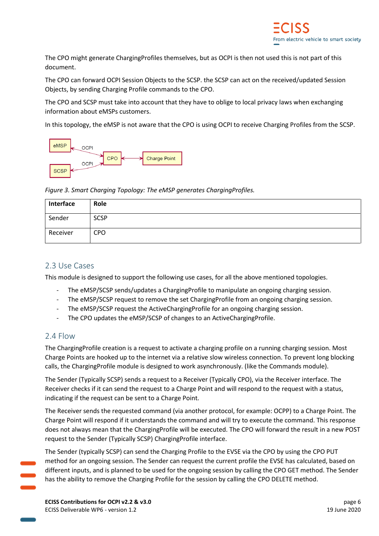The CPO might generate ChargingProfiles themselves, but as OCPI is then not used this is not part of this document.

The CPO can forward OCPI Session Objects to the SCSP. the SCSP can act on the received/updated Session Objects, by sending Charging Profile commands to the CPO.

The CPO and SCSP must take into account that they have to oblige to local privacy laws when exchanging information about eMSPs customers.

In this topology, the eMSP is not aware that the CPO is using OCPI to receive Charging Profiles from the SCSP.



*Figure 3. Smart Charging Topology: The eMSP generates ChargingProfiles.*

| Interface | Role        |
|-----------|-------------|
| Sender    | <b>SCSP</b> |
| Receiver  | <b>CPO</b>  |

#### <span id="page-6-0"></span>2.3 Use Cases

This module is designed to support the following use cases, for all the above mentioned topologies.

- The eMSP/SCSP sends/updates a ChargingProfile to manipulate an ongoing charging session.
- The eMSP/SCSP request to remove the set ChargingProfile from an ongoing charging session.
- The eMSP/SCSP request the ActiveChargingProfile for an ongoing charging session.
- The CPO updates the eMSP/SCSP of changes to an ActiveChargingProfile.

### <span id="page-6-1"></span>2.4 Flow

The ChargingProfile creation is a request to activate a charging profile on a running charging session. Most Charge Points are hooked up to the internet via a relative slow wireless connection. To prevent long blocking calls, the ChargingProfile module is designed to work asynchronously. (like the Commands module).

The Sender (Typically SCSP) sends a request to a Receiver (Typically CPO), via the Receiver interface. The Receiver checks if it can send the request to a Charge Point and will respond to the request with a status, indicating if the request can be sent to a Charge Point.

The Receiver sends the requested command (via another protocol, for example: OCPP) to a Charge Point. The Charge Point will respond if it understands the command and will try to execute the command. This response does not always mean that the ChargingProfile will be executed. The CPO will forward the result in a new POST request to the Sender (Typically SCSP) ChargingProfile interface.

The Sender (typically SCSP) can send the Charging Profile to the EVSE via the CPO by using the CPO PUT method for an ongoing session. The Sender can request the current profile the EVSE has calculated, based on different inputs, and is planned to be used for the ongoing session by calling the CPO GET method. The Sender has the ability to remove the Charging Profile for the session by calling the CPO DELETE method.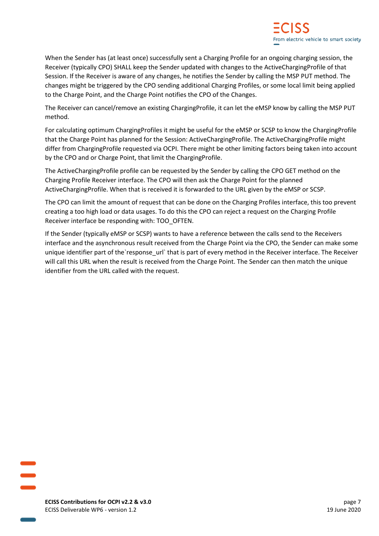When the Sender has (at least once) successfully sent a Charging Profile for an ongoing charging session, the Receiver (typically CPO) SHALL keep the Sender updated with changes to the ActiveChargingProfile of that Session. If the Receiver is aware of any changes, he notifies the Sender by calling the MSP PUT method. The changes might be triggered by the CPO sending additional Charging Profiles, or some local limit being applied to the Charge Point, and the Charge Point notifies the CPO of the Changes.

The Receiver can cancel/remove an existing ChargingProfile, it can let the eMSP know by calling the MSP PUT method.

For calculating optimum ChargingProfiles it might be useful for the eMSP or SCSP to know the ChargingProfile that the Charge Point has planned for the Session: ActiveChargingProfile. The ActiveChargingProfile might differ from ChargingProfile requested via OCPI. There might be other limiting factors being taken into account by the CPO and or Charge Point, that limit the ChargingProfile.

The ActiveChargingProfile profile can be requested by the Sender by calling the CPO GET method on the Charging Profile Receiver interface. The CPO will then ask the Charge Point for the planned ActiveChargingProfile. When that is received it is forwarded to the URL given by the eMSP or SCSP.

The CPO can limit the amount of request that can be done on the Charging Profiles interface, this too prevent creating a too high load or data usages. To do this the CPO can reject a request on the Charging Profile Receiver interface be responding with: TOO\_OFTEN.

If the Sender (typically eMSP or SCSP) wants to have a reference between the calls send to the Receivers interface and the asynchronous result received from the Charge Point via the CPO, the Sender can make some unique identifier part of the`response\_url` that is part of every method in the Receiver interface. The Receiver will call this URL when the result is received from the Charge Point. The Sender can then match the unique identifier from the URL called with the request.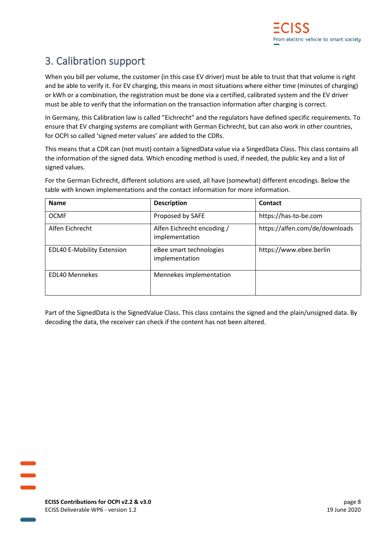# <span id="page-8-0"></span>3. Calibration support

When you bill per volume, the customer (in this case EV driver) must be able to trust that that volume is right and be able to verify it. For EV charging, this means in most situations where either time (minutes of charging) or kWh or a combination, the registration must be done via a certified, calibrated system and the EV driver must be able to verify that the information on the transaction information after charging is correct.

In Germany, this Calibration law is called "Eichrecht" and the regulators have defined specific requirements. To ensure that EV charging systems are compliant with German Eichrecht, but can also work in other countries, for OCPI so called 'signed meter values' are added to the CDRs.

This means that a CDR can (not must) contain a SignedData value via a SingedData Class. This class contains all the information of the signed data. Which encoding method is used, if needed, the public key and a list of signed values.

For the German Eichrecht, different solutions are used, all have (somewhat) different encodings. Below the table with known implementations and the contact information for more information.

| <b>Name</b>                       | <b>Description</b>                           | Contact                        |
|-----------------------------------|----------------------------------------------|--------------------------------|
| <b>OCMF</b>                       | Proposed by SAFE                             | https://has-to-be.com          |
| Alfen Eichrecht                   | Alfen Eichrecht encoding /<br>implementation | https://alfen.com/de/downloads |
| <b>EDL40 E-Mobility Extension</b> | eBee smart technologies<br>implementation    | https://www.ebee.berlin        |
| <b>EDL40 Mennekes</b>             | Mennekes implementation                      |                                |

Part of the SignedData is the SignedValue Class. This class contains the signed and the plain/unsigned data. By decoding the data, the receiver can check if the content has not been altered.